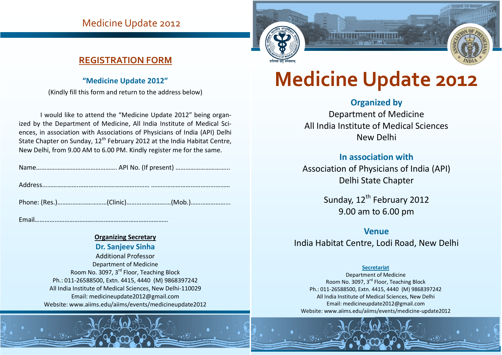## Medicine Update 2012

## **REGISTRATION FORM**

#### **"Medicine Update 2012"**

(Kindly fill this form and return to the address below)

I would like to attend the "Medicine Update 2012" being organized by the Department of Medicine, All India Institute of Medical Sciences, in association with Associations of Physicians of India (API) Delhi State Chapter on Sunday, 12<sup>th</sup> February 2012 at the India Habitat Centre, New Delhi, from 9.00 AM to 6.00 PM. Kindly register me for the same.

|--|--|--|

Address………………….………………….………………… …………………………………………

Phone: (Res.)…………………………(Clinic)………………………(Mob.)…………………...

Email………………………………………………………………………

#### **Organizing Secretary**

**Dr. Sanjeev Sinha** Additional Professor Department of Medicine Room No. 3097, 3rd Floor, Teaching Block Ph.: 011-26588500, Extn. 4415, 4440 (M) 9868397242 All India Institute of Medical Sciences, New Delhi-110029 Email: medicineupdate2012@gmail.com Website: www.aiims.edu/aiims/events/medicineupdate2012



# **Medicine Update 2012**

## **Organized by**

Department of Medicine All India Institute of Medical Sciences New Delhi

#### **In association with**

Association of Physicians of India (API) Delhi State Chapter

> Sunday, 12<sup>th</sup> February 2012 9.00 am to 6.00 pm

#### **Venue**

India Habitat Centre, Lodi Road, New Delhi

#### **Secretariat**

Department of Medicine Room No. 3097, 3rd Floor, Teaching Block Ph.: 011-26588500, Extn. 4415, 4440 (M) 9868397242 All India Institute of Medical Sciences, New Delhi Email: medicineupdate2012@gmail.com Website: www.aiims.edu/aiims/events/medicine-update2012